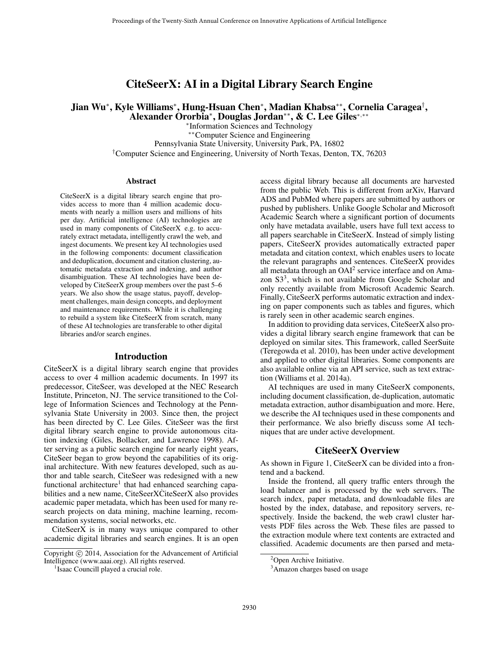## CiteSeerX: AI in a Digital Library Search Engine

## Jian Wu\*, Kyle Williams\*, Hung-Hsuan Chen\*, Madian Khabsa\*\*, Cornelia Caragea<sup>†</sup>, Alexander Ororbia<sup>∗</sup> , Douglas Jordan∗∗, & C. Lee Giles<sup>∗</sup>,∗∗

∗ Information Sciences and Technology ∗∗Computer Science and Engineering Pennsylvania State University, University Park, PA, 16802 †Computer Science and Engineering, University of North Texas, Denton, TX, 76203

#### Abstract

CiteSeerX is a digital library search engine that provides access to more than 4 million academic documents with nearly a million users and millions of hits per day. Artificial intelligence (AI) technologies are used in many components of CiteSeerX e.g. to accurately extract metadata, intelligently crawl the web, and ingest documents. We present key AI technologies used in the following components: document classification and deduplication, document and citation clustering, automatic metadata extraction and indexing, and author disambiguation. These AI technologies have been developed by CiteSeerX group members over the past 5–6 years. We also show the usage status, payoff, development challenges, main design concepts, and deployment and maintenance requirements. While it is challenging to rebuild a system like CiteSeerX from scratch, many of these AI technologies are transferable to other digital libraries and/or search engines.

#### Introduction

CiteSeerX is a digital library search engine that provides access to over 4 million academic documents. In 1997 its predecessor, CiteSeer, was developed at the NEC Research Institute, Princeton, NJ. The service transitioned to the College of Information Sciences and Technology at the Pennsylvania State University in 2003. Since then, the project has been directed by C. Lee Giles. CiteSeer was the first digital library search engine to provide autonomous citation indexing (Giles, Bollacker, and Lawrence 1998). After serving as a public search engine for nearly eight years, CiteSeer began to grow beyond the capabilities of its original architecture. With new features developed, such as author and table search, CiteSeer was redesigned with a new functional architecture<sup>1</sup> that had enhanced searching capabilities and a new name, CiteSeerXCiteSeerX also provides academic paper metadata, which has been used for many research projects on data mining, machine learning, recommendation systems, social networks, etc.

CiteSeerX is in many ways unique compared to other academic digital libraries and search engines. It is an open

access digital library because all documents are harvested from the public Web. This is different from arXiv, Harvard ADS and PubMed where papers are submitted by authors or pushed by publishers. Unlike Google Scholar and Microsoft Academic Search where a significant portion of documents only have metadata available, users have full text access to all papers searchable in CiteSeerX. Instead of simply listing papers, CiteSeerX provides automatically extracted paper metadata and citation context, which enables users to locate the relevant paragraphs and sentences. CiteSeerX provides all metadata through an  $OAI<sup>2</sup>$  service interface and on Amazon  $S3<sup>3</sup>$ , which is not available from Google Scholar and only recently available from Microsoft Academic Search. Finally, CiteSeerX performs automatic extraction and indexing on paper components such as tables and figures, which is rarely seen in other academic search engines.

In addition to providing data services, CiteSeerX also provides a digital library search engine framework that can be deployed on similar sites. This framework, called SeerSuite (Teregowda et al. 2010), has been under active development and applied to other digital libraries. Some components are also available online via an API service, such as text extraction (Williams et al. 2014a).

AI techniques are used in many CiteSeerX components, including document classification, de-duplication, automatic metadata extraction, author disambiguation and more. Here, we describe the AI techniques used in these components and their performance. We also briefly discuss some AI techniques that are under active development.

## CiteSeerX Overview

As shown in Figure 1, CiteSeerX can be divided into a frontend and a backend.

Inside the frontend, all query traffic enters through the load balancer and is processed by the web servers. The search index, paper metadata, and downloadable files are hosted by the index, database, and repository servers, respectively. Inside the backend, the web crawl cluster harvests PDF files across the Web. These files are passed to the extraction module where text contents are extracted and classified. Academic documents are then parsed and meta-

Copyright  $\odot$  2014, Association for the Advancement of Artificial Intelligence (www.aaai.org). All rights reserved.

<sup>&</sup>lt;sup>1</sup> Isaac Councill played a crucial role.

<sup>&</sup>lt;sup>2</sup>Open Archive Initiative.

<sup>&</sup>lt;sup>3</sup>Amazon charges based on usage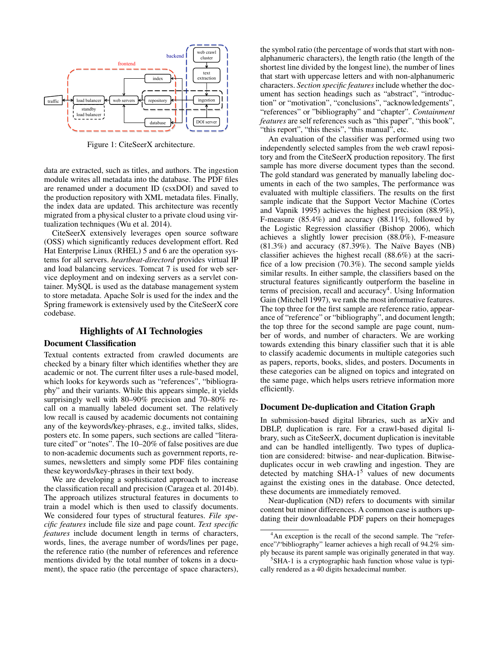

Figure 1: CiteSeerX architecture.

data are extracted, such as titles, and authors. The ingestion module writes all metadata into the database. The PDF files are renamed under a document ID (csxDOI) and saved to the production repository with XML metadata files. Finally, the index data are updated. This architecture was recently migrated from a physical cluster to a private cloud using virtualization techniques (Wu et al. 2014).

CiteSeerX extensively leverages open source software (OSS) which significantly reduces development effort. Red Hat Enterprise Linux (RHEL) 5 and 6 are the operation systems for all servers. *heartbeat-directord* provides virtual IP and load balancing services. Tomcat 7 is used for web service deployment and on indexing servers as a servlet container. MySQL is used as the database management system to store metadata. Apache Solr is used for the index and the Spring framework is extensively used by the CiteSeerX core codebase.

# Highlights of AI Technologies

#### Document Classification

Textual contents extracted from crawled documents are checked by a binary filter which identifies whether they are academic or not. The current filter uses a rule-based model, which looks for keywords such as "references", "bibliography" and their variants. While this appears simple, it yields surprisingly well with 80–90% precision and 70–80% recall on a manually labeled document set. The relatively low recall is caused by academic documents not containing any of the keywords/key-phrases, e.g., invited talks, slides, posters etc. In some papers, such sections are called "literature cited" or "notes". The 10–20% of false positives are due to non-academic documents such as government reports, resumes, newsletters and simply some PDF files containing these keywords/key-phrases in their text body.

We are developing a sophisticated approach to increase the classification recall and precision (Caragea et al. 2014b). The approach utilizes structural features in documents to train a model which is then used to classify documents. We considered four types of structural features. *File specific features* include file size and page count. *Text specific features* include document length in terms of characters, words, lines, the average number of words/lines per page, the reference ratio (the number of references and reference mentions divided by the total number of tokens in a document), the space ratio (the percentage of space characters),

the symbol ratio (the percentage of words that start with nonalphanumeric characters), the length ratio (the length of the shortest line divided by the longest line), the number of lines that start with uppercase letters and with non-alphanumeric characters. *Section specific features*include whether the document has section headings such as "abstract", "introduction" or "motivation", "conclusions", "acknowledgements", "references" or "bibliography" and "chapter". *Containment features* are self references such as "this paper", "this book", "this report", "this thesis", "this manual", etc.

An evaluation of the classifier was performed using two independently selected samples from the web crawl repository and from the CiteSeerX production repository. The first sample has more diverse document types than the second. The gold standard was generated by manually labeling documents in each of the two samples, The performance was evaluated with multiple classifiers. The results on the first sample indicate that the Support Vector Machine (Cortes and Vapnik 1995) achieves the highest precision (88.9%), F-measure (85.4%) and accuracy (88.11%), followed by the Logistic Regression classifier (Bishop 2006), which achieves a slightly lower precision (88.0%), F-measure  $(81.3%)$  and accuracy  $(87.39%)$ . The Naïve Bayes (NB) classifier achieves the highest recall (88.6%) at the sacrifice of a low precision (70.3%). The second sample yields similar results. In either sample, the classifiers based on the structural features significantly outperform the baseline in terms of precision, recall and accuracy<sup>4</sup>. Using Information Gain (Mitchell 1997), we rank the most informative features. The top three for the first sample are reference ratio, appearance of "reference" or "bibliography", and document length; the top three for the second sample are page count, number of words, and number of characters. We are working towards extending this binary classifier such that it is able to classify academic documents in multiple categories such as papers, reports, books, slides, and posters. Documents in these categories can be aligned on topics and integrated on the same page, which helps users retrieve information more efficiently.

#### Document De-duplication and Citation Graph

In submission-based digital libraries, such as arXiv and DBLP, duplication is rare. For a crawl-based digital library, such as CiteSeerX, document duplication is inevitable and can be handled intelligently. Two types of duplication are considered: bitwise- and near-duplication. Bitwiseduplicates occur in web crawling and ingestion. They are detected by matching  $SHA-1<sup>5</sup>$  values of new documents against the existing ones in the database. Once detected, these documents are immediately removed.

Near-duplication (ND) refers to documents with similar content but minor differences. A common case is authors updating their downloadable PDF papers on their homepages

<sup>&</sup>lt;sup>4</sup>An exception is the recall of the second sample. The "reference"/"bibliography" learner achieves a high recall of 94.2% simply because its parent sample was originally generated in that way.

<sup>&</sup>lt;sup>5</sup>SHA-1 is a cryptographic hash function whose value is typically rendered as a 40 digits hexadecimal number.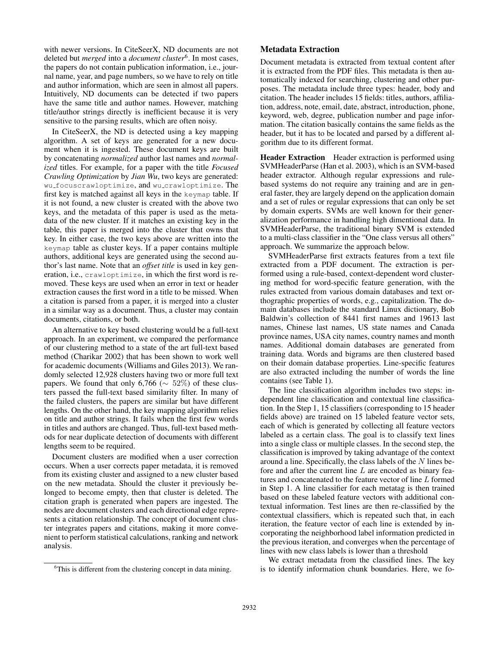with newer versions. In CiteSeerX, ND documents are not deleted but *merged* into a *document cluster*<sup>6</sup> . In most cases, the papers do not contain publication information, i.e., journal name, year, and page numbers, so we have to rely on title and author information, which are seen in almost all papers. Intuitively, ND documents can be detected if two papers have the same title and author names. However, matching title/author strings directly is inefficient because it is very sensitive to the parsing results, which are often noisy.

In CiteSeerX, the ND is detected using a key mapping algorithm. A set of keys are generated for a new document when it is ingested. These document keys are built by concatenating *normalized* author last names and *normalized* titles. For example, for a paper with the title *Focused Crawling Optimization* by *Jian Wu*, two keys are generated: wu focuscrawloptimize, and wu crawloptimize. The first key is matched against all keys in the keymap table. If it is not found, a new cluster is created with the above two keys, and the metadata of this paper is used as the metadata of the new cluster. If it matches an existing key in the table, this paper is merged into the cluster that owns that key. In either case, the two keys above are written into the keymap table as cluster keys. If a paper contains multiple authors, additional keys are generated using the second author's last name. Note that an *offset title* is used in key generation, i.e., crawloptimize, in which the first word is removed. These keys are used when an error in text or header extraction causes the first word in a title to be missed. When a citation is parsed from a paper, it is merged into a cluster in a similar way as a document. Thus, a cluster may contain documents, citations, or both.

An alternative to key based clustering would be a full-text approach. In an experiment, we compared the performance of our clustering method to a state of the art full-text based method (Charikar 2002) that has been shown to work well for academic documents (Williams and Giles 2013). We randomly selected 12,928 clusters having two or more full text papers. We found that only 6,766 ( $\sim$  52%) of these clusters passed the full-text based similarity filter. In many of the failed clusters, the papers are similar but have different lengths. On the other hand, the key mapping algorithm relies on title and author strings. It fails when the first few words in titles and authors are changed. Thus, full-text based methods for near duplicate detection of documents with different lengths seem to be required.

Document clusters are modified when a user correction occurs. When a user corrects paper metadata, it is removed from its existing cluster and assigned to a new cluster based on the new metadata. Should the cluster it previously belonged to become empty, then that cluster is deleted. The citation graph is generated when papers are ingested. The nodes are document clusters and each directional edge represents a citation relationship. The concept of document cluster integrates papers and citations, making it more convenient to perform statistical calculations, ranking and network analysis.

#### Metadata Extraction

Document metadata is extracted from textual content after it is extracted from the PDF files. This metadata is then automatically indexed for searching, clustering and other purposes. The metadata include three types: header, body and citation. The header includes 15 fields: titles, authors, affiliation, address, note, email, date, abstract, introduction, phone, keyword, web, degree, publication number and page information. The citation basically contains the same fields as the header, but it has to be located and parsed by a different algorithm due to its different format.

Header Extraction Header extraction is performed using SVMHeaderParse (Han et al. 2003), which is an SVM-based header extractor. Although regular expressions and rulebased systems do not require any training and are in general faster, they are largely depend on the application domain and a set of rules or regular expressions that can only be set by domain experts. SVMs are well known for their generalization performance in handling high dimentional data. In SVMHeaderParse, the traditional binary SVM is extended to a multi-class classifier in the "One class versus all others" approach. We summarize the approach below.

SVMHeaderParse first extracts features from a text file extracted from a PDF document. The extraction is performed using a rule-based, context-dependent word clustering method for word-specific feature generation, with the rules extracted from various domain databases and text orthographic properties of words, e.g., capitalization. The domain databases include the standard Linux dictionary, Bob Baldwin's collection of 8441 first names and 19613 last names, Chinese last names, US state names and Canada province names, USA city names, country names and month names. Additional domain databases are generated from training data. Words and bigrams are then clustered based on their domain database properties. Line-specific features are also extracted including the number of words the line contains (see Table 1).

The line classification algorithm includes two steps: independent line classification and contextual line classification. In the Step 1, 15 classifiers (corresponding to 15 header fields above) are trained on 15 labeled feature vector sets, each of which is generated by collecting all feature vectors labeled as a certain class. The goal is to classify text lines into a single class or multiple classes. In the second step, the classification is improved by taking advantage of the context around a line. Specifically, the class labels of the N lines before and after the current line  $L$  are encoded as binary features and concatenated to the feature vector of line L formed in Step 1. A line classifier for each metatag is then trained based on these labeled feature vectors with additional contextual information. Test lines are then re-classified by the contextual classifiers, which is repeated such that, in each iteration, the feature vector of each line is extended by incorporating the neighborhood label information predicted in the previous iteration, and converges when the percentage of lines with new class labels is lower than a threshold

We extract metadata from the classified lines. The key is to identify information chunk boundaries. Here, we fo-

<sup>&</sup>lt;sup>6</sup>This is different from the clustering concept in data mining.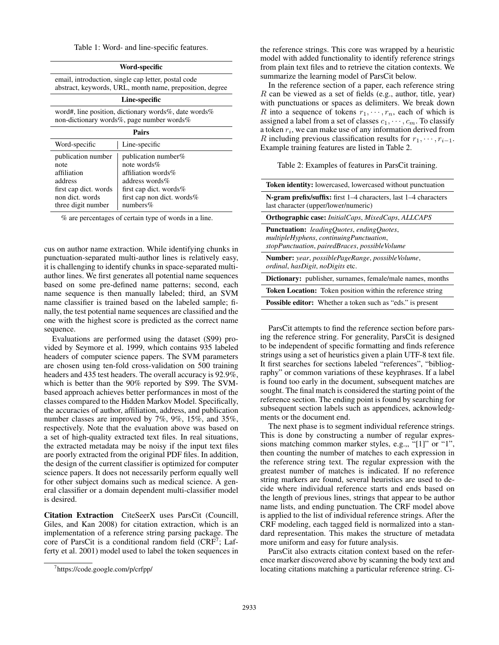Table 1: Word- and line-specific features.

| Word-specific                                                                                                          |                                                                                                                                                                |  |  |  |  |
|------------------------------------------------------------------------------------------------------------------------|----------------------------------------------------------------------------------------------------------------------------------------------------------------|--|--|--|--|
| email, introduction, single cap letter, postal code<br>abstract, keywords, URL, month name, preposition, degree        |                                                                                                                                                                |  |  |  |  |
| Line-specific                                                                                                          |                                                                                                                                                                |  |  |  |  |
| word#, line position, dictionary words%, date words%<br>non-dictionary words%, page number words%                      |                                                                                                                                                                |  |  |  |  |
| Pairs                                                                                                                  |                                                                                                                                                                |  |  |  |  |
| Word-specific                                                                                                          | Line-specific                                                                                                                                                  |  |  |  |  |
| publication number<br>note<br>affiliation<br>address<br>first cap dict. words<br>non dict. words<br>three digit number | publication number $%$<br>note words $%$<br>affiliation words%<br>address words $\%$<br>first cap dict. words%<br>first cap non dict. words $%$<br>numbers $%$ |  |  |  |  |

% are percentages of certain type of words in a line.

cus on author name extraction. While identifying chunks in punctuation-separated multi-author lines is relatively easy, it is challenging to identify chunks in space-separated multiauthor lines. We first generates all potential name sequences based on some pre-defined name patterns; second, each name sequence is then manually labeled; third, an SVM name classifier is trained based on the labeled sample; finally, the test potential name sequences are classified and the one with the highest score is predicted as the correct name sequence.

Evaluations are performed using the dataset (S99) provided by Seymore et al. 1999, which contains 935 labeled headers of computer science papers. The SVM parameters are chosen using ten-fold cross-validation on 500 training headers and 435 test headers. The overall accuracy is 92.9%, which is better than the 90% reported by S99. The SVMbased approach achieves better performances in most of the classes compared to the Hidden Markov Model. Specifically, the accuracies of author, affiliation, address, and publication number classes are improved by 7%, 9%, 15%, and 35%, respectively. Note that the evaluation above was based on a set of high-quality extracted text files. In real situations, the extracted metadata may be noisy if the input text files are poorly extracted from the original PDF files. In addition, the design of the current classifier is optimized for computer science papers. It does not necessarily perform equally well for other subject domains such as medical science. A general classifier or a domain dependent multi-classifier model is desired.

Citation Extraction CiteSeerX uses ParsCit (Councill, Giles, and Kan 2008) for citation extraction, which is an implementation of a reference string parsing package. The core of ParsCit is a conditional random field  $(CRF^7; Lat$ ferty et al. 2001) model used to label the token sequences in

the reference strings. This core was wrapped by a heuristic model with added functionality to identify reference strings from plain text files and to retrieve the citation contexts. We summarize the learning model of ParsCit below.

In the reference section of a paper, each reference string  $R$  can be viewed as a set of fields (e.g., author, title, year) with punctuations or spaces as delimiters. We break down R into a sequence of tokens  $r_1, \dots, r_n$ , each of which is assigned a label from a set of classes  $c_1, \dots, c_m$ . To classify a token  $r_i$ , we can make use of any information derived from R including previous classification results for  $r_1, \dots, r_{i-1}$ . Example training features are listed in Table 2.

#### Table 2: Examples of features in ParsCit training.

| <b>Token identity:</b> lowercased, lowercased without punctuation                                                                            |  |  |  |  |
|----------------------------------------------------------------------------------------------------------------------------------------------|--|--|--|--|
| N-gram prefix/suffix: first 1–4 characters, last 1–4 characters<br>last character (upper/lower/numeric)                                      |  |  |  |  |
| <b>Orthographic case:</b> InitialCaps, MixedCaps, ALLCAPS                                                                                    |  |  |  |  |
| <b>Punctuation:</b> leadingOuotes, endingOuotes,<br>multipleHyphens, continuingPunctuation,<br>stopPunctuation, pairedBraces, possibleVolume |  |  |  |  |
| <b>Number:</b> year, possiblePageRange, possibleVolume,<br><i>ordinal, hasDigit, noDigits etc.</i>                                           |  |  |  |  |
| <b>Dictionary:</b> publisher, surnames, female/male names, months                                                                            |  |  |  |  |
| Token Location: Token position within the reference string                                                                                   |  |  |  |  |
| <b>Possible editor:</b> Whether a token such as "eds." is present                                                                            |  |  |  |  |
|                                                                                                                                              |  |  |  |  |

ParsCit attempts to find the reference section before parsing the reference string. For generality, ParsCit is designed to be independent of specific formatting and finds reference strings using a set of heuristics given a plain UTF-8 text file. It first searches for sections labeled "references", "bibliography" or common variations of these keyphrases. If a label is found too early in the document, subsequent matches are sought. The final match is considered the starting point of the reference section. The ending point is found by searching for subsequent section labels such as appendices, acknowledgments or the document end.

The next phase is to segment individual reference strings. This is done by constructing a number of regular expressions matching common marker styles, e.g.,, "[1]" or "1", then counting the number of matches to each expression in the reference string text. The regular expression with the greatest number of matches is indicated. If no reference string markers are found, several heuristics are used to decide where individual reference starts and ends based on the length of previous lines, strings that appear to be author name lists, and ending punctuation. The CRF model above is applied to the list of individual reference strings. After the CRF modeling, each tagged field is normalized into a standard representation. This makes the structure of metadata more uniform and easy for future analysis.

ParsCit also extracts citation context based on the reference marker discovered above by scanning the body text and locating citations matching a particular reference string. Ci-

<sup>7</sup> https://code.google.com/p/crfpp/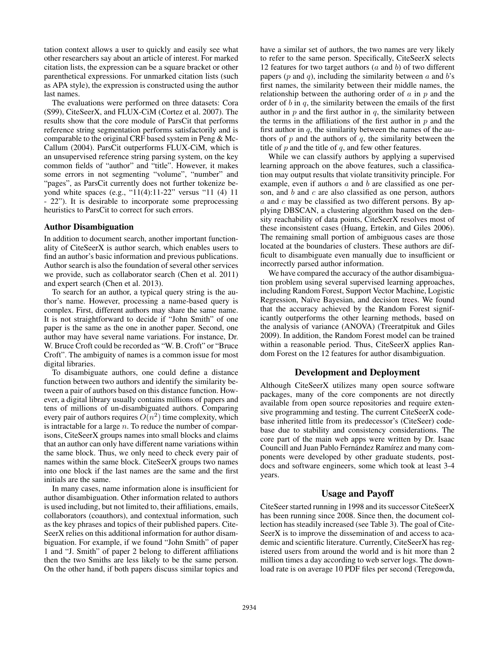tation context allows a user to quickly and easily see what other researchers say about an article of interest. For marked citation lists, the expression can be a square bracket or other parenthetical expressions. For unmarked citation lists (such as APA style), the expression is constructed using the author last names.

The evaluations were performed on three datasets: Cora (S99), CiteSeerX, and FLUX-CiM (Cortez et al. 2007). The results show that the core module of ParsCit that performs reference string segmentation performs satisfactorily and is comparable to the original CRF based system in Peng & Mc-Callum (2004). ParsCit outperforms FLUX-CiM, which is an unsupervised reference string parsing system, on the key common fields of "author" and "title". However, it makes some errors in not segmenting "volume", "number" and "pages", as ParsCit currently does not further tokenize beyond white spaces (e.g., "11(4):11-22" versus "11 (4) 11 - 22"). It is desirable to incorporate some preprocessing heuristics to ParsCit to correct for such errors.

#### Author Disambiguation

In addition to document search, another important functionality of CiteSeerX is author search, which enables users to find an author's basic information and previous publications. Author search is also the foundation of several other services we provide, such as collaborator search (Chen et al. 2011) and expert search (Chen et al. 2013).

To search for an author, a typical query string is the author's name. However, processing a name-based query is complex. First, different authors may share the same name. It is not straightforward to decide if "John Smith" of one paper is the same as the one in another paper. Second, one author may have several name variations. For instance, Dr. W. Bruce Croft could be recorded as "W. B. Croft" or "Bruce Croft". The ambiguity of names is a common issue for most digital libraries.

To disambiguate authors, one could define a distance function between two authors and identify the similarity between a pair of authors based on this distance function. However, a digital library usually contains millions of papers and tens of millions of un-disambiguated authors. Comparing every pair of authors requires  $O(n^2)$  time complexity, which is intractable for a large  $n$ . To reduce the number of comparisons, CiteSeerX groups names into small blocks and claims that an author can only have different name variations within the same block. Thus, we only need to check every pair of names within the same block. CiteSeerX groups two names into one block if the last names are the same and the first initials are the same.

In many cases, name information alone is insufficient for author disambiguation. Other information related to authors is used including, but not limited to, their affiliations, emails, collaborators (coauthors), and contextual information, such as the key phrases and topics of their published papers. Cite-SeerX relies on this additional information for author disambiguation. For example, if we found "John Smith" of paper 1 and "J. Smith" of paper 2 belong to different affiliations then the two Smiths are less likely to be the same person. On the other hand, if both papers discuss similar topics and have a similar set of authors, the two names are very likely to refer to the same person. Specifically, CiteSeerX selects 12 features for two target authors  $(a \text{ and } b)$  of two different papers ( $p$  and  $q$ ), including the similarity between  $a$  and  $b$ 's first names, the similarity between their middle names, the relationship between the authoring order of  $\alpha$  in  $p$  and the order of  $b$  in  $q$ , the similarity between the emails of the first author in  $p$  and the first author in  $q$ , the similarity between the terms in the affiliations of the first author in  $p$  and the first author in  $q$ , the similarity between the names of the authors of  $p$  and the authors of  $q$ , the similarity between the title of  $p$  and the title of  $q$ , and few other features.

While we can classify authors by applying a supervised learning approach on the above features, such a classification may output results that violate transitivity principle. For example, even if authors a and b are classified as one person, and  $b$  and  $c$  are also classified as one person, authors a and c may be classified as two different persons. By applying DBSCAN, a clustering algorithm based on the density reachability of data points, CiteSeerX resolves most of these inconsistent cases (Huang, Ertekin, and Giles 2006). The remaining small portion of ambiguous cases are those located at the boundaries of clusters. These authors are difficult to disambiguate even manually due to insufficient or incorrectly parsed author information.

We have compared the accuracy of the author disambiguation problem using several supervised learning approaches, including Random Forest, Support Vector Machine, Logistic Regression, Naïve Bayesian, and decision trees. We found that the accuracy achieved by the Random Forest significantly outperforms the other learning methods, based on the analysis of variance (ANOVA) (Treeratpituk and Giles 2009). In addition, the Random Forest model can be trained within a reasonable period. Thus, CiteSeerX applies Random Forest on the 12 features for author disambiguation.

#### Development and Deployment

Although CiteSeerX utilizes many open source software packages, many of the core components are not directly available from open source repositories and require extensive programming and testing. The current CiteSeerX codebase inherited little from its predecessor's (CiteSeer) codebase due to stability and consistency considerations. The core part of the main web apps were written by Dr. Isaac Councill and Juan Pablo Fernández Ramírez and many components were developed by other graduate students, postdocs and software engineers, some which took at least 3-4 years.

#### Usage and Payoff

CiteSeer started running in 1998 and its successor CiteSeerX has been running since 2008. Since then, the document collection has steadily increased (see Table 3). The goal of Cite-SeerX is to improve the dissemination of and access to academic and scientific literature. Currently, CiteSeerX has registered users from around the world and is hit more than 2 million times a day according to web server logs. The download rate is on average 10 PDF files per second (Teregowda,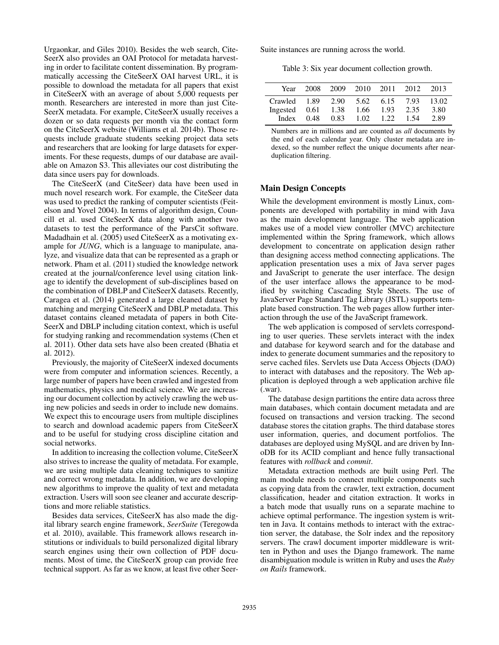Urgaonkar, and Giles 2010). Besides the web search, Cite-SeerX also provides an OAI Protocol for metadata harvesting in order to facilitate content dissemination. By programmatically accessing the CiteSeerX OAI harvest URL, it is possible to download the metadata for all papers that exist in CiteSeerX with an average of about 5,000 requests per month. Researchers are interested in more than just Cite-SeerX metadata. For example, CiteSeerX usually receives a dozen or so data requests per month via the contact form on the CiteSeerX website (Williams et al. 2014b). Those requests include graduate students seeking project data sets and researchers that are looking for large datasets for experiments. For these requests, dumps of our database are available on Amazon S3. This alleviates our cost distributing the data since users pay for downloads.

The CiteSeerX (and CiteSeer) data have been used in much novel research work. For example, the CiteSeer data was used to predict the ranking of computer scientists (Feitelson and Yovel 2004). In terms of algorithm design, Councill et al. used CiteSeerX data along with another two datasets to test the performance of the ParsCit software. Madadhain et al. (2005) used CiteSeerX as a motivating example for *JUNG*, which is a language to manipulate, analyze, and visualize data that can be represented as a graph or network. Pham et al. (2011) studied the knowledge network created at the journal/conference level using citation linkage to identify the development of sub-disciplines based on the combination of DBLP and CiteSeerX datasets. Recently, Caragea et al. (2014) generated a large cleaned dataset by matching and merging CiteSeerX and DBLP metadata. This dataset contains cleaned metadata of papers in both Cite-SeerX and DBLP including citation context, which is useful for studying ranking and recommendation systems (Chen et al. 2011). Other data sets have also been created (Bhatia et al. 2012).

Previously, the majority of CiteSeerX indexed documents were from computer and information sciences. Recently, a large number of papers have been crawled and ingested from mathematics, physics and medical science. We are increasing our document collection by actively crawling the web using new policies and seeds in order to include new domains. We expect this to encourage users from multiple disciplines to search and download academic papers from CiteSeerX and to be useful for studying cross discipline citation and social networks.

In addition to increasing the collection volume, CiteSeerX also strives to increase the quality of metadata. For example, we are using multiple data cleaning techniques to sanitize and correct wrong metadata. In addition, we are developing new algorithms to improve the quality of text and metadata extraction. Users will soon see cleaner and accurate descriptions and more reliable statistics.

Besides data services, CiteSeerX has also made the digital library search engine framework, *SeerSuite* (Teregowda et al. 2010), available. This framework allows research institutions or individuals to build personalized digital library search engines using their own collection of PDF documents. Most of time, the CiteSeerX group can provide free technical support. As far as we know, at least five other SeerSuite instances are running across the world.

Table 3: Six year document collection growth.

| Year                                                                   |      |      | 2008 2009 2010 2011 2012 |      |      | - 2013                |
|------------------------------------------------------------------------|------|------|--------------------------|------|------|-----------------------|
| Crawled 1.89 2.90 5.62 6.15 7.93<br>Ingested $0.61$ 1.38 1.66<br>Index | 0.48 | 0.83 | 1.02 1.22 1.54           | 1.93 | 2.35 | 13.02<br>3.80<br>2.89 |

Numbers are in millions and are counted as *all* documents by the end of each calendar year. Only cluster metadata are indexed, so the number reflect the unique documents after nearduplication filtering.

## Main Design Concepts

While the development environment is mostly Linux, components are developed with portability in mind with Java as the main development language. The web application makes use of a model view controller (MVC) architecture implemented within the Spring framework, which allows development to concentrate on application design rather than designing access method connecting applications. The application presentation uses a mix of Java server pages and JavaScript to generate the user interface. The design of the user interface allows the appearance to be modified by switching Cascading Style Sheets. The use of JavaServer Page Standard Tag Library (JSTL) supports template based construction. The web pages allow further interaction through the use of the JavaScript framework.

The web application is composed of servlets corresponding to user queries. These servlets interact with the index and database for keyword search and for the database and index to generate document summaries and the repository to serve cached files. Servlets use Data Access Objects (DAO) to interact with databases and the repository. The Web application is deployed through a web application archive file (.war).

The database design partitions the entire data across three main databases, which contain document metadata and are focused on transactions and version tracking. The second database stores the citation graphs. The third database stores user information, queries, and document portfolios. The databases are deployed using MySQL and are driven by InnoDB for its ACID compliant and hence fully transactional features with *rollback* and *commit*.

Metadata extraction methods are built using Perl. The main module needs to connect multiple components such as copying data from the crawler, text extraction, document classification, header and citation extraction. It works in a batch mode that usually runs on a separate machine to achieve optimal performance. The ingestion system is written in Java. It contains methods to interact with the extraction server, the database, the Solr index and the repository servers. The crawl document importer middleware is written in Python and uses the Django framework. The name disambiguation module is written in Ruby and uses the *Ruby on Rails* framework.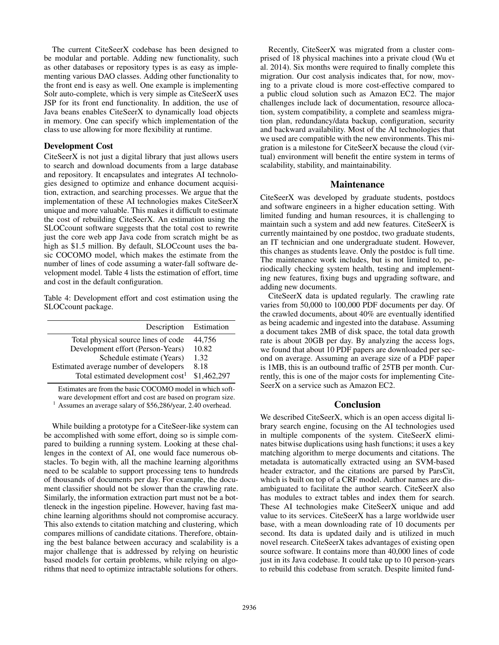The current CiteSeerX codebase has been designed to be modular and portable. Adding new functionality, such as other databases or repository types is as easy as implementing various DAO classes. Adding other functionality to the front end is easy as well. One example is implementing Solr auto-complete, which is very simple as CiteSeerX uses JSP for its front end functionality. In addition, the use of Java beans enables CiteSeerX to dynamically load objects in memory. One can specify which implementation of the class to use allowing for more flexibility at runtime.

#### Development Cost

CiteSeerX is not just a digital library that just allows users to search and download documents from a large database and repository. It encapsulates and integrates AI technologies designed to optimize and enhance document acquisition, extraction, and searching processes. We argue that the implementation of these AI technologies makes CiteSeerX unique and more valuable. This makes it difficult to estimate the cost of rebuilding CiteSeerX. An estimation using the SLOCcount software suggests that the total cost to rewrite just the core web app Java code from scratch might be as high as \$1.5 million. By default, SLOCcount uses the basic COCOMO model, which makes the estimate from the number of lines of code assuming a water-fall software development model. Table 4 lists the estimation of effort, time and cost in the default configuration.

Table 4: Development effort and cost estimation using the SLOCcount package.

| Description                                   | Estimation  |
|-----------------------------------------------|-------------|
| Total physical source lines of code           | 44,756      |
| Development effort (Person-Years)             | 10.82       |
| Schedule estimate (Years)                     | 1.32        |
| Estimated average number of developers        | 8.18        |
| Total estimated development cost <sup>1</sup> | \$1,462,297 |
|                                               |             |

Estimates are from the basic COCOMO model in which software development effort and cost are based on program size. <sup>1</sup> Assumes an average salary of \$56,286/year, 2.40 overhead.

While building a prototype for a CiteSeer-like system can be accomplished with some effort, doing so is simple compared to building a running system. Looking at these challenges in the context of AI, one would face numerous obstacles. To begin with, all the machine learning algorithms need to be scalable to support processing tens to hundreds of thousands of documents per day. For example, the document classifier should not be slower than the crawling rate. Similarly, the information extraction part must not be a bottleneck in the ingestion pipeline. However, having fast machine learning algorithms should not compromise accuracy. This also extends to citation matching and clustering, which compares millions of candidate citations. Therefore, obtaining the best balance between accuracy and scalability is a major challenge that is addressed by relying on heuristic based models for certain problems, while relying on algorithms that need to optimize intractable solutions for others.

Recently, CiteSeerX was migrated from a cluster comprised of 18 physical machines into a private cloud (Wu et al. 2014). Six months were required to finally complete this migration. Our cost analysis indicates that, for now, moving to a private cloud is more cost-effective compared to a public cloud solution such as Amazon EC2. The major challenges include lack of documentation, resource allocation, system compatibility, a complete and seamless migration plan, redundancy/data backup, configuration, security and backward availability. Most of the AI technologies that we used are compatible with the new environments. This migration is a milestone for CiteSeerX because the cloud (virtual) environment will benefit the entire system in terms of scalability, stability, and maintainability.

#### Maintenance

CiteSeerX was developed by graduate students, postdocs and software engineers in a higher education setting. With limited funding and human resources, it is challenging to maintain such a system and add new features. CiteSeerX is currently maintained by one postdoc, two graduate students, an IT technician and one undergraduate student. However, this changes as students leave. Only the postdoc is full time. The maintenance work includes, but is not limited to, periodically checking system health, testing and implementing new features, fixing bugs and upgrading software, and adding new documents.

CiteSeerX data is updated regularly. The crawling rate varies from 50,000 to 100,000 PDF documents per day. Of the crawled documents, about 40% are eventually identified as being academic and ingested into the database. Assuming a document takes 2MB of disk space, the total data growth rate is about 20GB per day. By analyzing the access logs, we found that about 10 PDF papers are downloaded per second on average. Assuming an average size of a PDF paper is 1MB, this is an outbound traffic of 25TB per month. Currently, this is one of the major costs for implementing Cite-SeerX on a service such as Amazon EC2.

## Conclusion

We described CiteSeerX, which is an open access digital library search engine, focusing on the AI technologies used in multiple components of the system. CiteSeerX eliminates bitwise duplications using hash functions; it uses a key matching algorithm to merge documents and citations. The metadata is automatically extracted using an SVM-based header extractor, and the citations are parsed by ParsCit, which is built on top of a CRF model. Author names are disambiguated to facilitate the author search. CiteSeerX also has modules to extract tables and index them for search. These AI technologies make CiteSeerX unique and add value to its services. CiteSeerX has a large worldwide user base, with a mean downloading rate of 10 documents per second. Its data is updated daily and is utilized in much novel research. CiteSeerX takes advantages of existing open source software. It contains more than 40,000 lines of code just in its Java codebase. It could take up to 10 person-years to rebuild this codebase from scratch. Despite limited fund